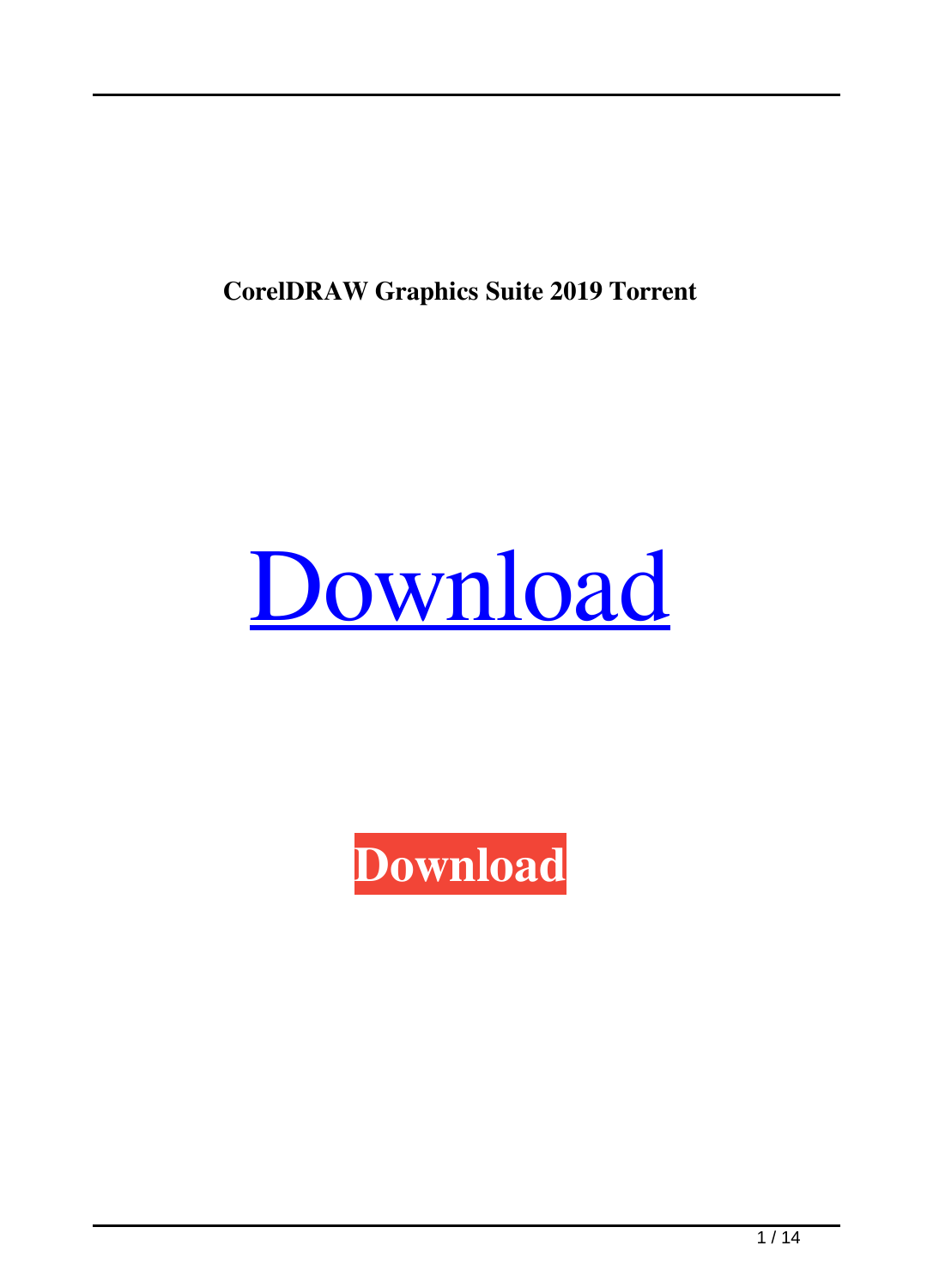**CorelDRAW Graphics Suite 2019 Torrent**



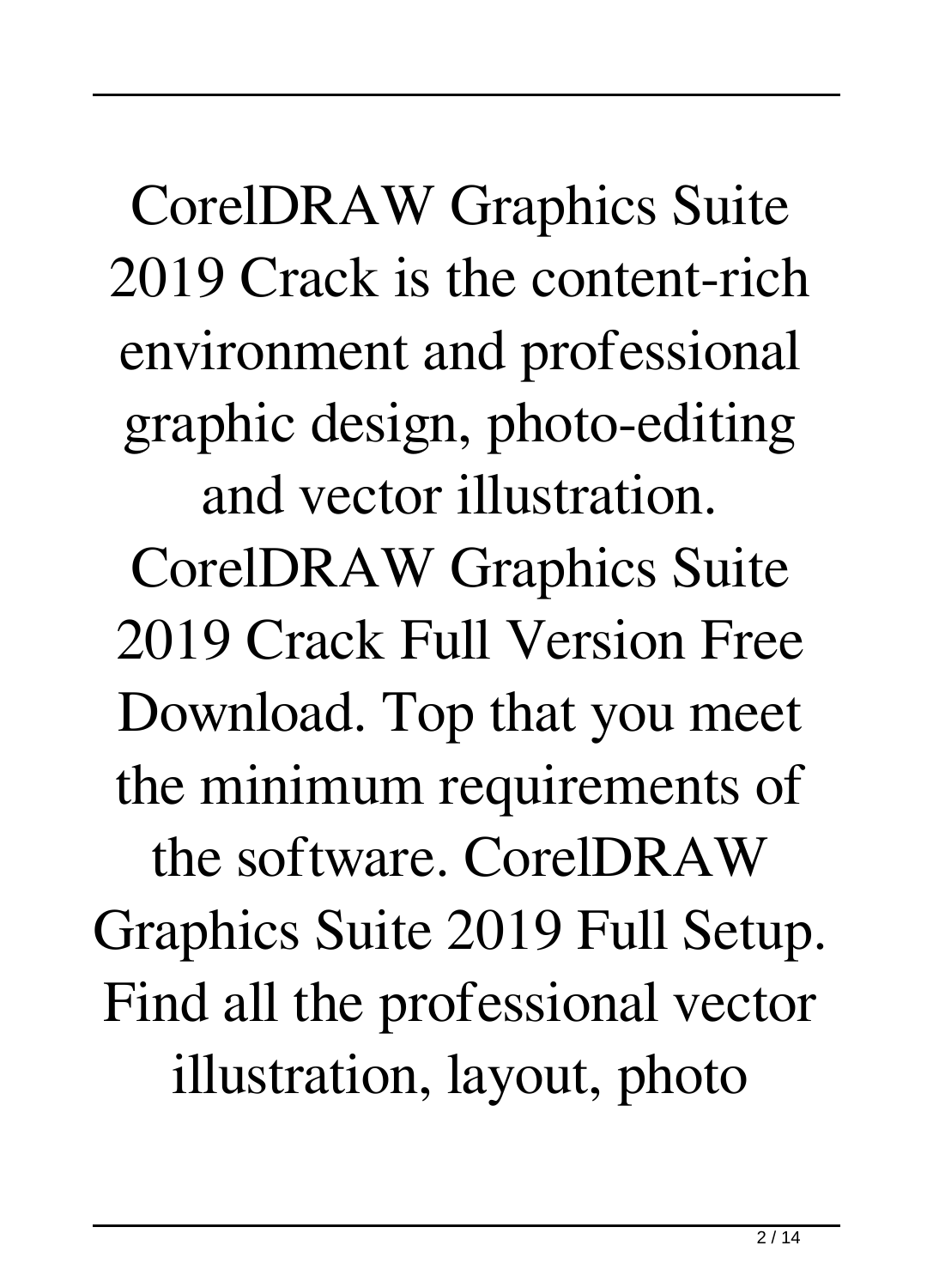CorelDRAW Graphics Suite 2019 Crack is the content-rich environment and professional graphic design, photo-editing and vector illustration.

CorelDRAW Graphics Suite 2019 Crack Full Version Free Download. Top that you meet the minimum requirements of

the software. CorelDRAW Graphics Suite 2019 Full Setup. Find all the professional vector illustration, layout, photo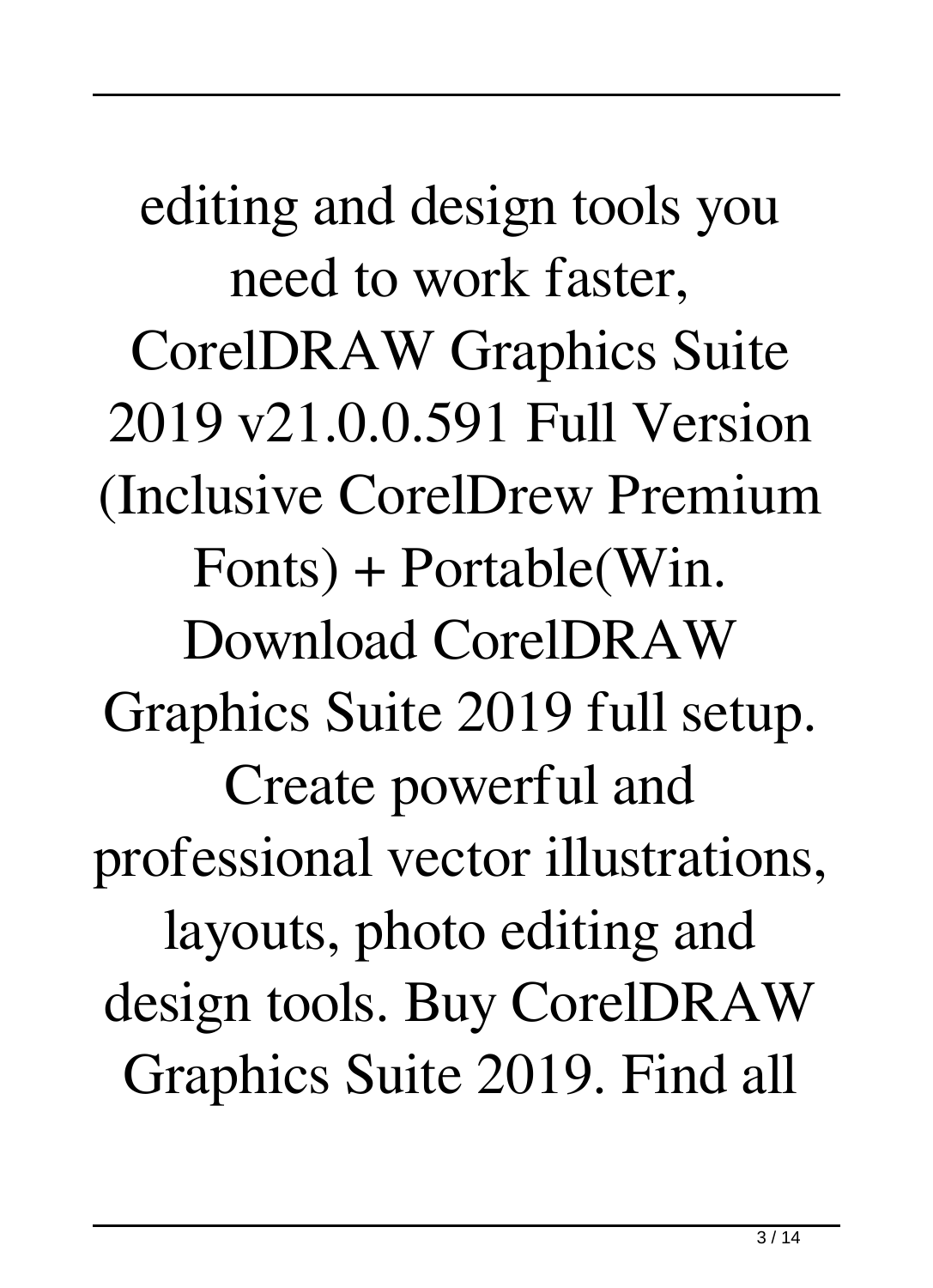editing and design tools you need to work faster, CorelDRAW Graphics Suite 2019 v21.0.0.591 Full Version (Inclusive CorelDrew Premium Fonts) + Portable(Win. Download CorelDRAW Graphics Suite 2019 full setup. Create powerful and professional vector illustrations, layouts, photo editing and design tools. Buy CorelDRAW Graphics Suite 2019. Find all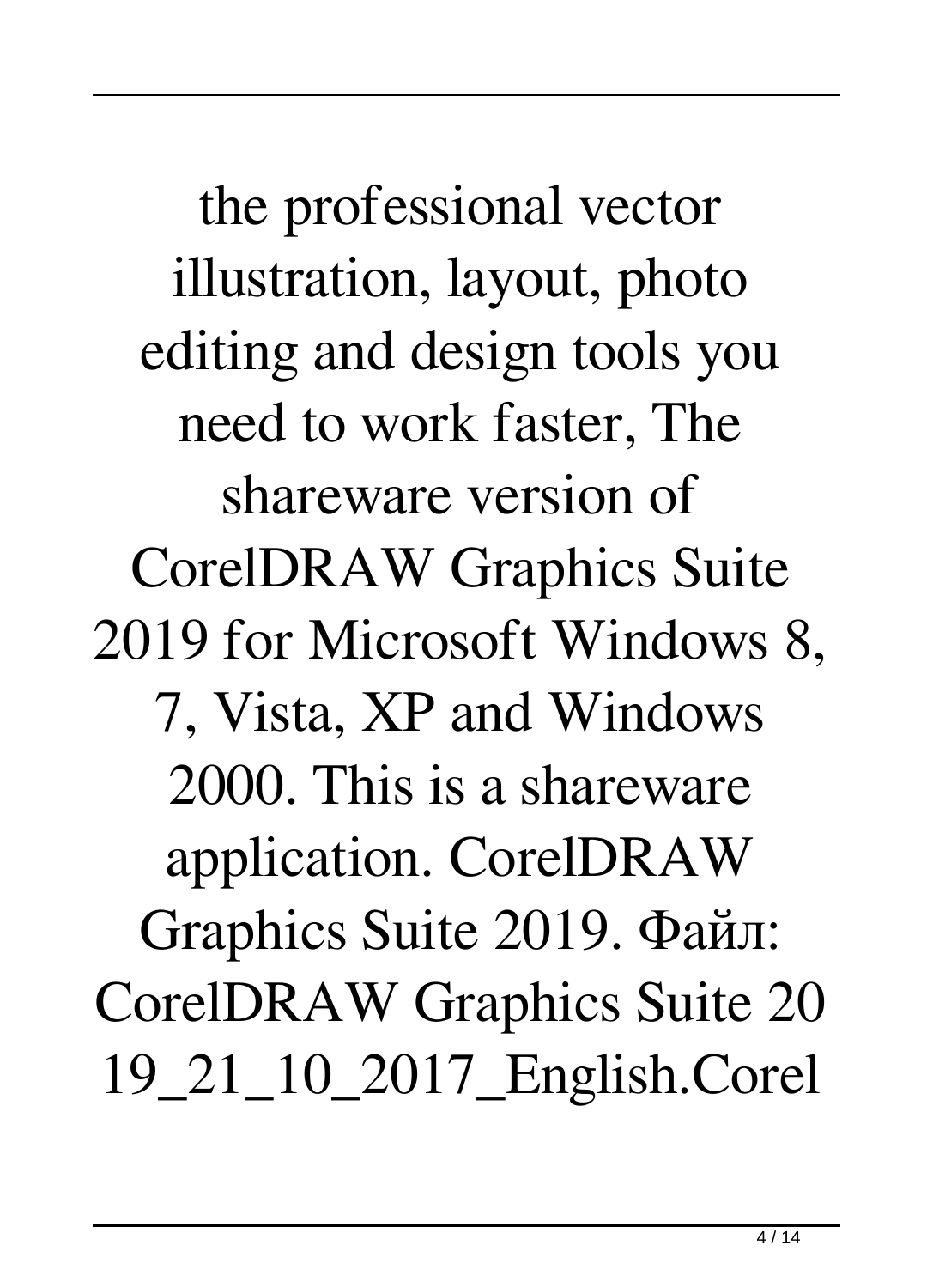the professional vector illustration, layout, photo editing and design tools you need to work faster, The shareware version of CorelDRAW Graphics Suite 2019 for Microsoft Windows 8, 7, Vista, XP and Windows 2000. This is a shareware application. CorelDRAW Graphics Suite 2019. Файл: CorelDRAW Graphics Suite 20 19\_21\_10\_2017\_English.Corel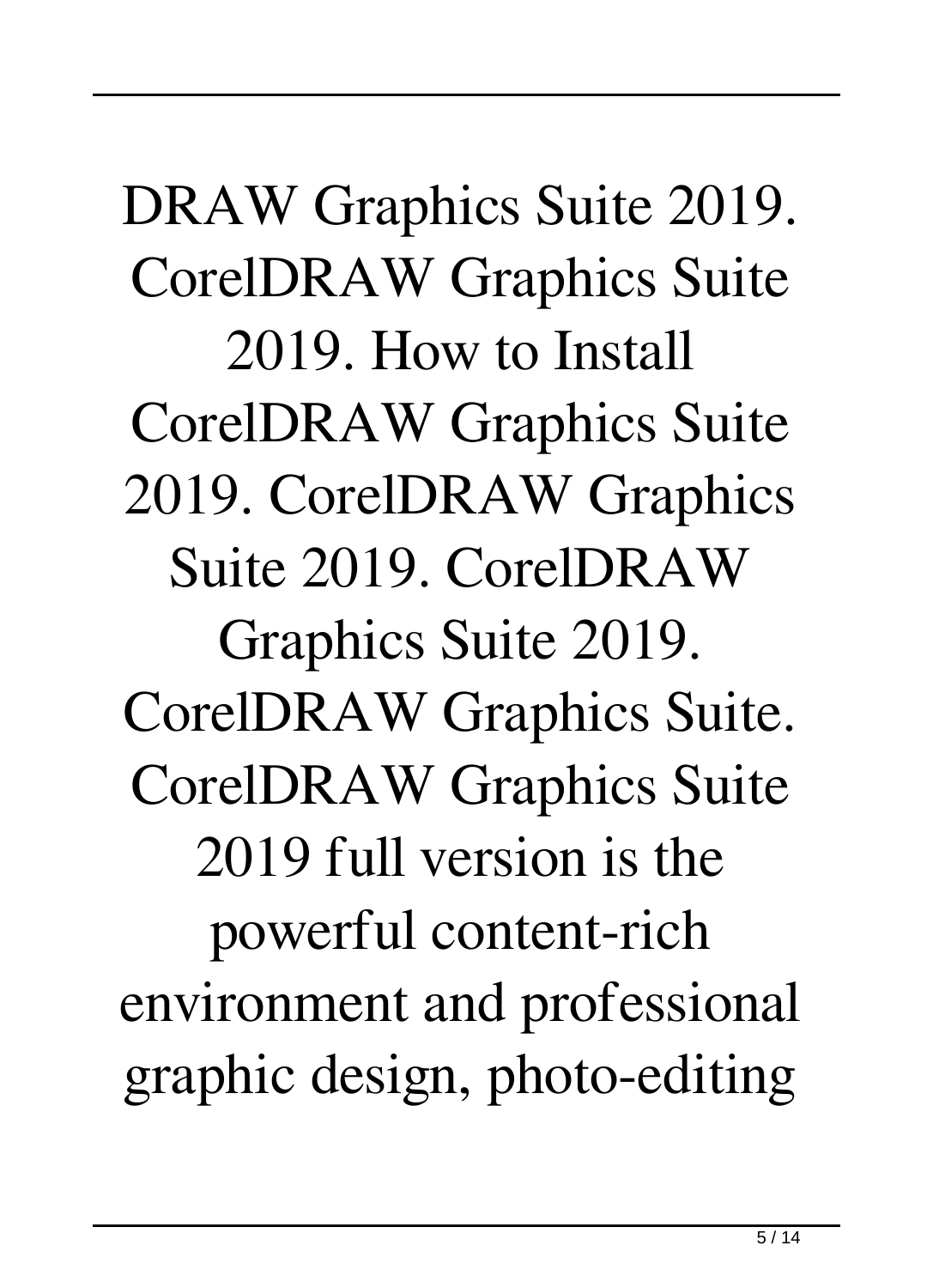DRAW Graphics Suite 2019. CorelDRAW Graphics Suite 2019. How to Install CorelDRAW Graphics Suite 2019. CorelDRAW Graphics Suite 2019. CorelDRAW Graphics Suite 2019. CorelDRAW Graphics Suite. CorelDRAW Graphics Suite 2019 full version is the powerful content-rich environment and professional graphic design, photo-editing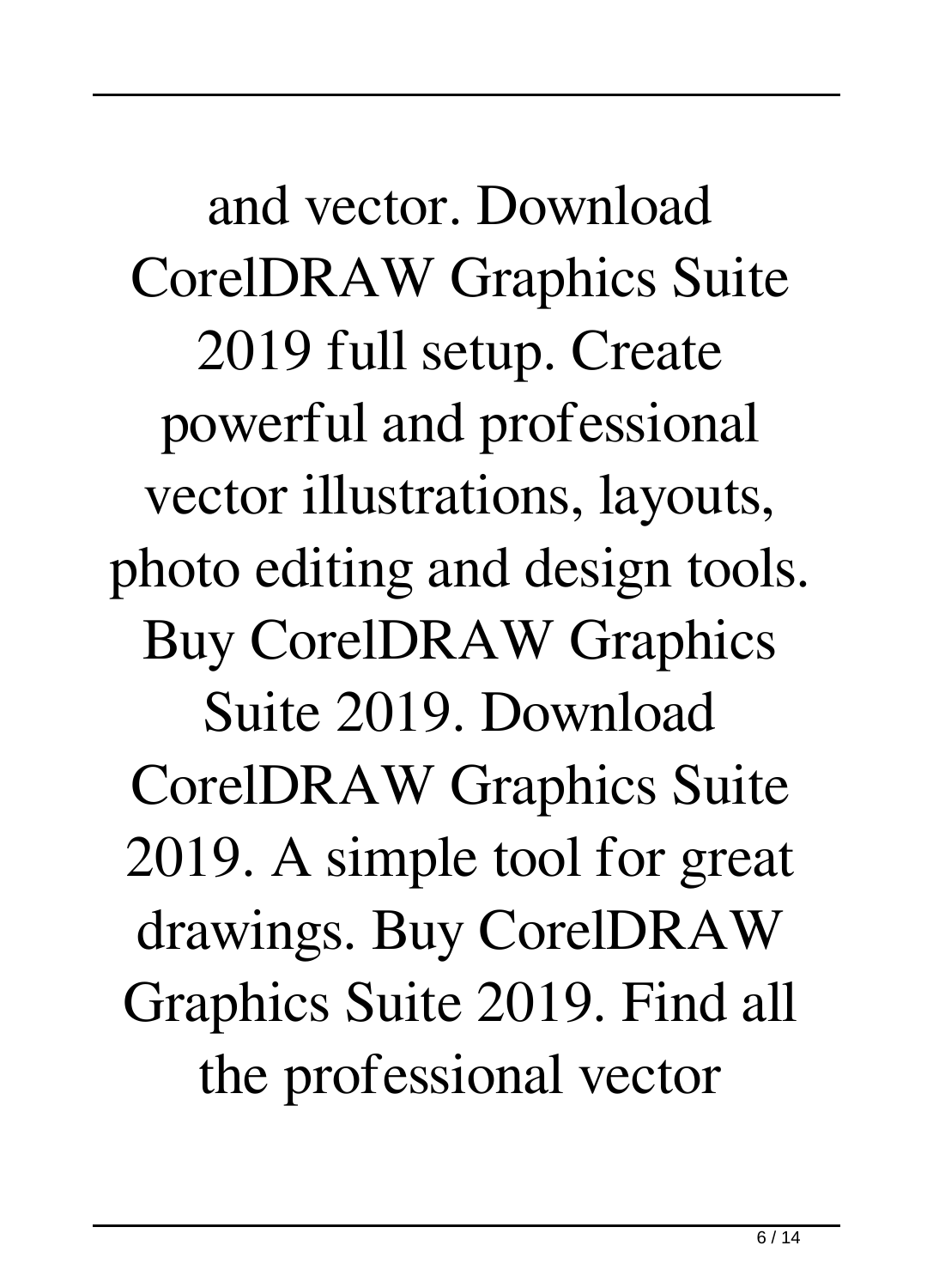and vector. Download CorelDRAW Graphics Suite 2019 full setup. Create powerful and professional vector illustrations, layouts, photo editing and design tools. Buy CorelDRAW Graphics Suite 2019. Download CorelDRAW Graphics Suite 2019. A simple tool for great drawings. Buy CorelDRAW Graphics Suite 2019. Find all the professional vector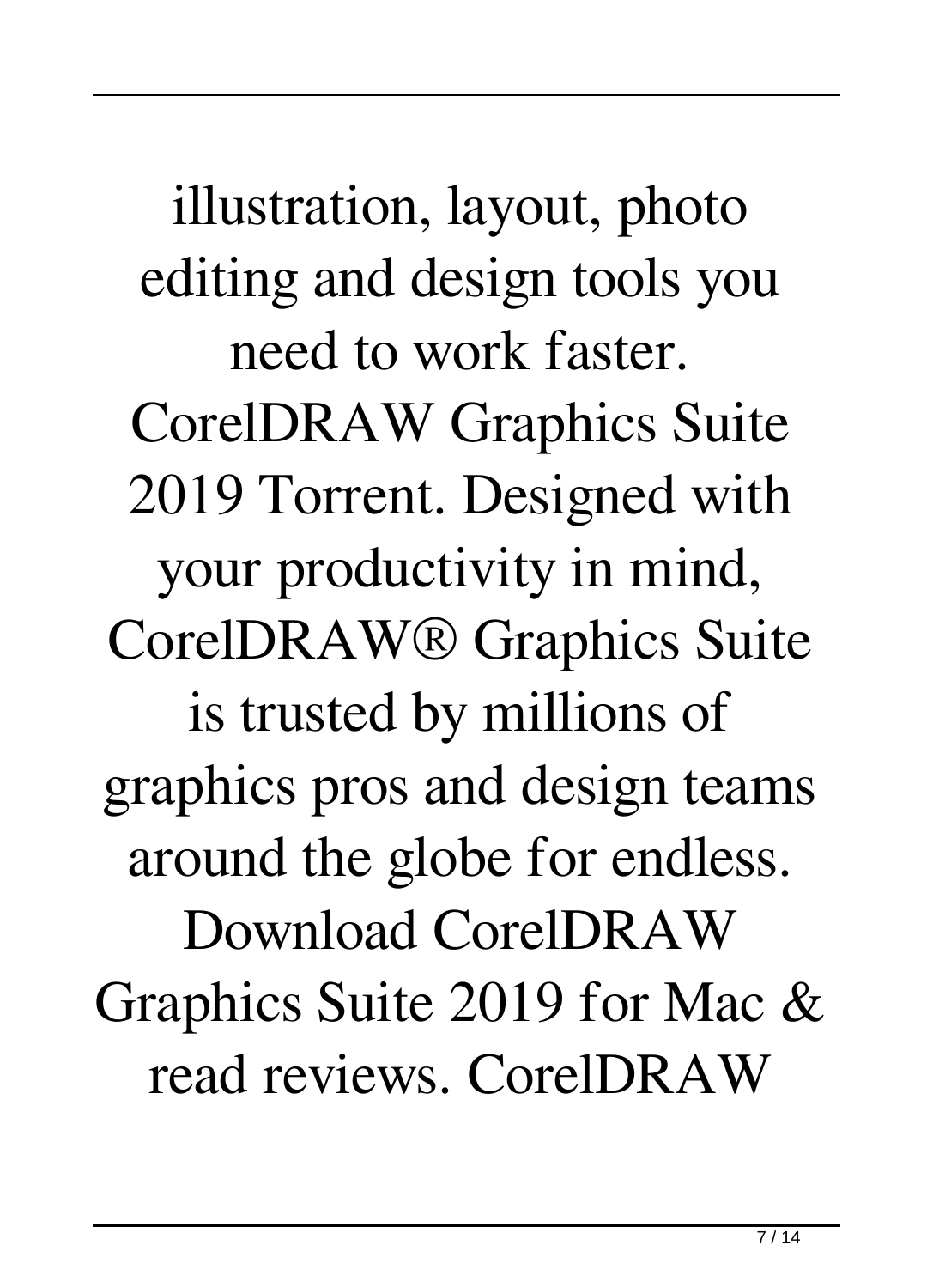illustration, layout, photo editing and design tools you need to work faster. CorelDRAW Graphics Suite 2019 Torrent. Designed with your productivity in mind, CorelDRAW® Graphics Suite is trusted by millions of graphics pros and design teams around the globe for endless. Download CorelDRAW Graphics Suite 2019 for Mac & read reviews. CorelDRAW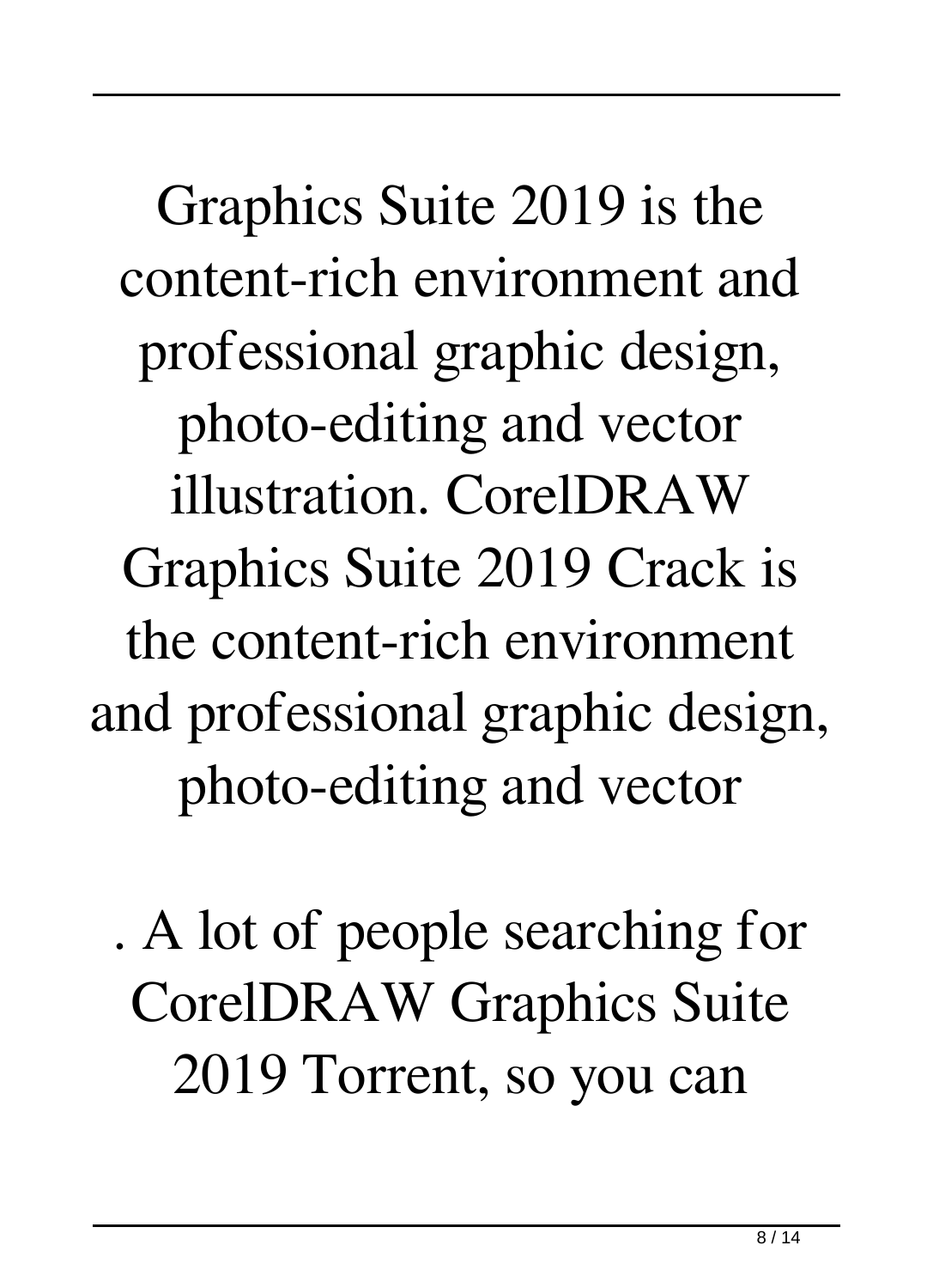Graphics Suite 2019 is the content-rich environment and professional graphic design, photo-editing and vector illustration. CorelDRAW Graphics Suite 2019 Crack is the content-rich environment and professional graphic design, photo-editing and vector

. A lot of people searching for CorelDRAW Graphics Suite 2019 Torrent, so you can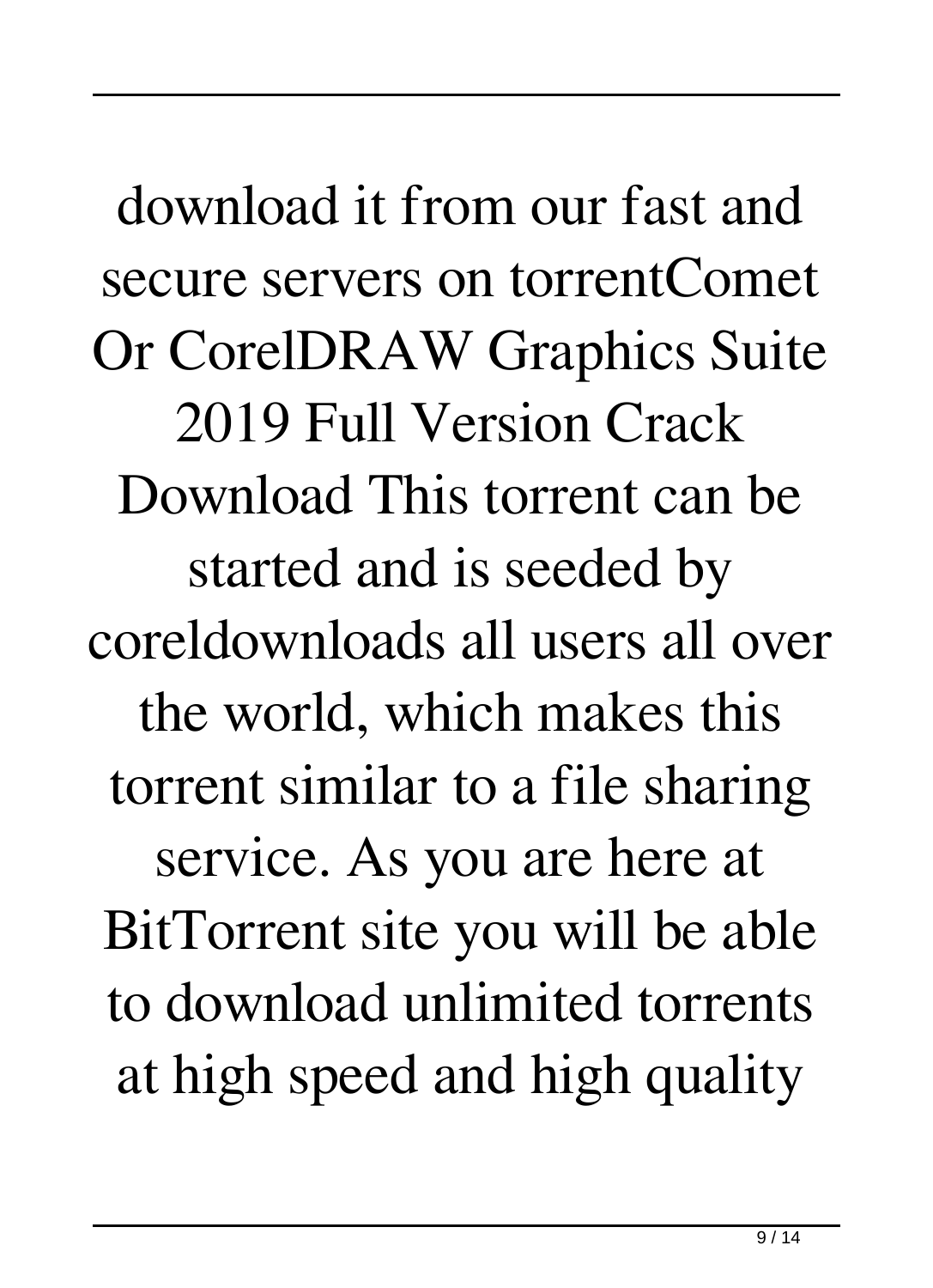download it from our fast and secure servers on torrentComet Or CorelDRAW Graphics Suite 2019 Full Version Crack Download This torrent can be started and is seeded by coreldownloads all users all over the world, which makes this torrent similar to a file sharing service. As you are here at BitTorrent site you will be able to download unlimited torrents at high speed and high quality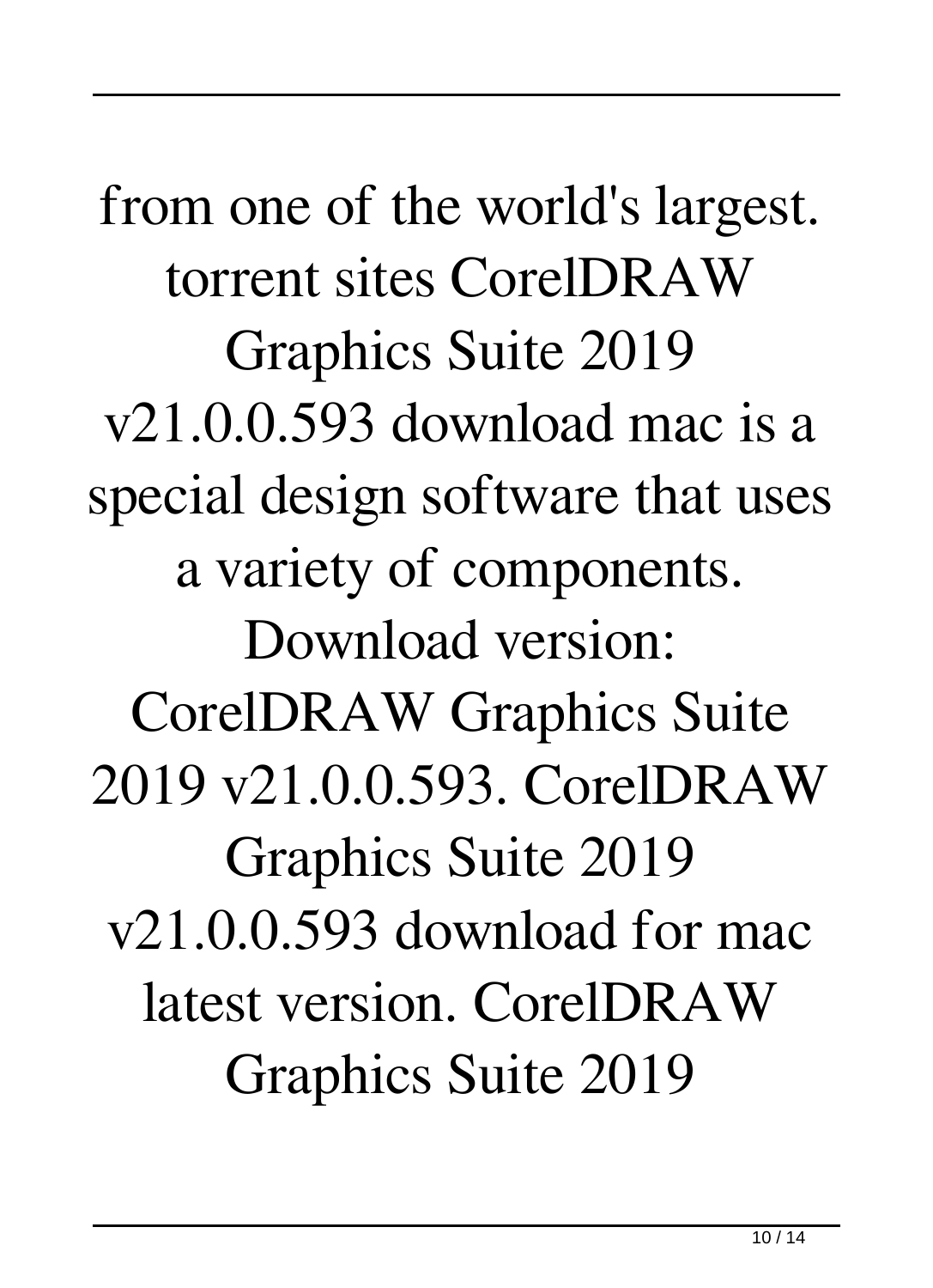from one of the world's largest. torrent sites CorelDRAW Graphics Suite 2019 v21.0.0.593 download mac is a special design software that uses a variety of components. Download version: CorelDRAW Graphics Suite 2019 v21.0.0.593. CorelDRAW Graphics Suite 2019 v21.0.0.593 download for mac latest version. CorelDRAW Graphics Suite 2019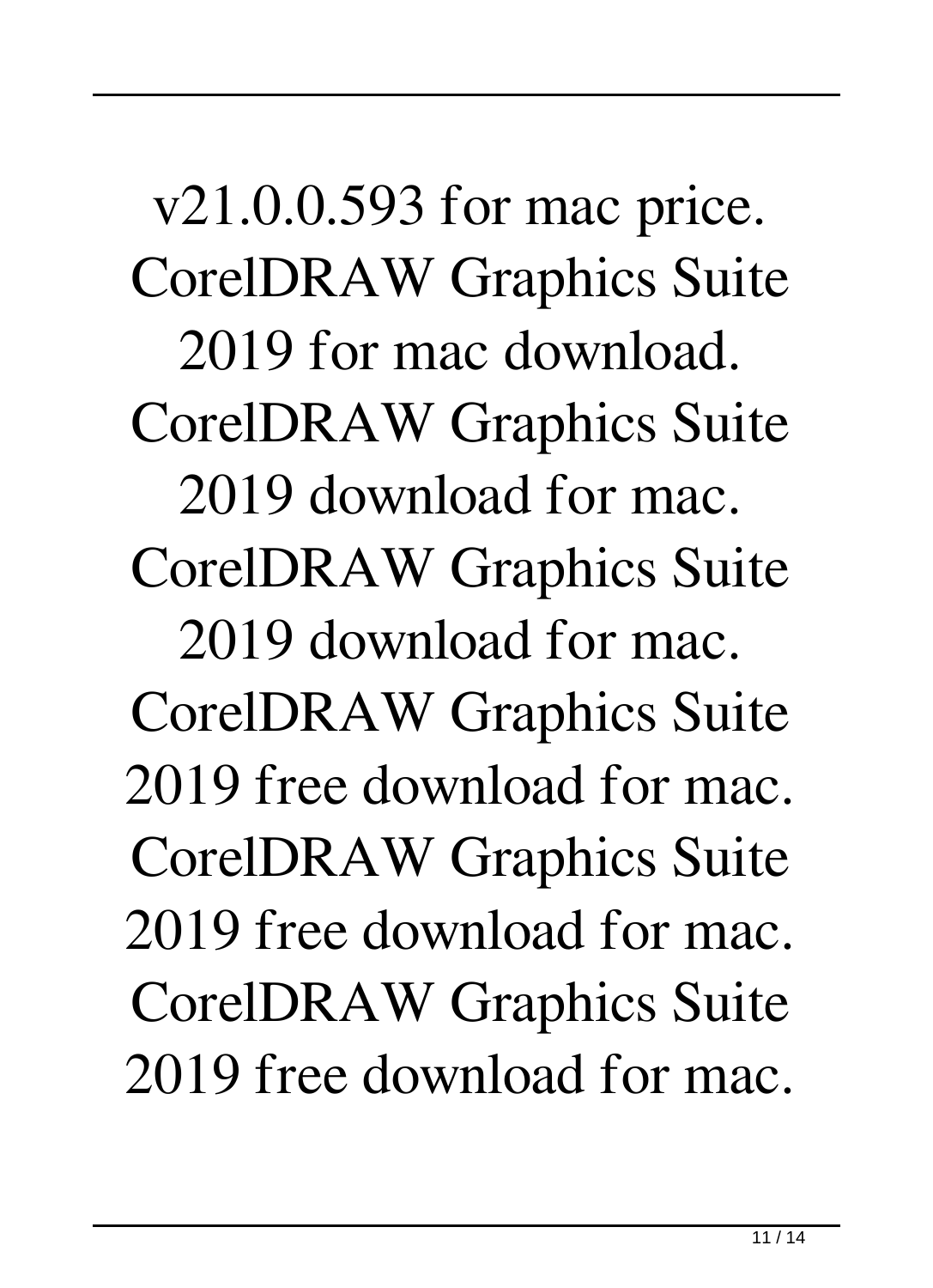v21.0.0.593 for mac price. CorelDRAW Graphics Suite 2019 for mac download. CorelDRAW Graphics Suite 2019 download for mac. CorelDRAW Graphics Suite 2019 download for mac. CorelDRAW Graphics Suite 2019 free download for mac. CorelDRAW Graphics Suite 2019 free download for mac. CorelDRAW Graphics Suite 2019 free download for mac.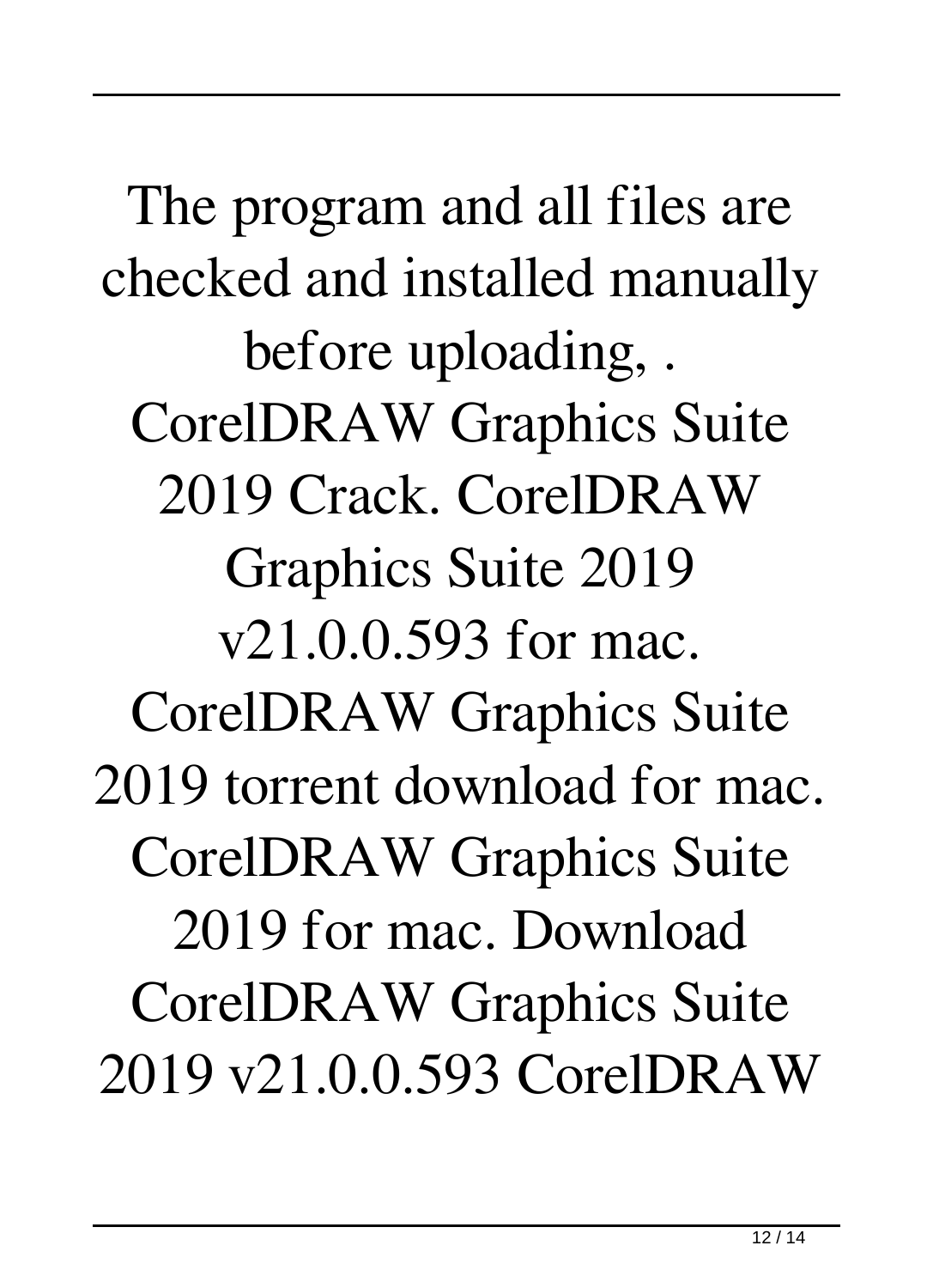The program and all files are checked and installed manually before uploading, . CorelDRAW Graphics Suite 2019 Crack. CorelDRAW Graphics Suite 2019 v21.0.0.593 for mac. CorelDRAW Graphics Suite 2019 torrent download for mac. CorelDRAW Graphics Suite 2019 for mac. Download CorelDRAW Graphics Suite 2019 v21.0.0.593 CorelDRAW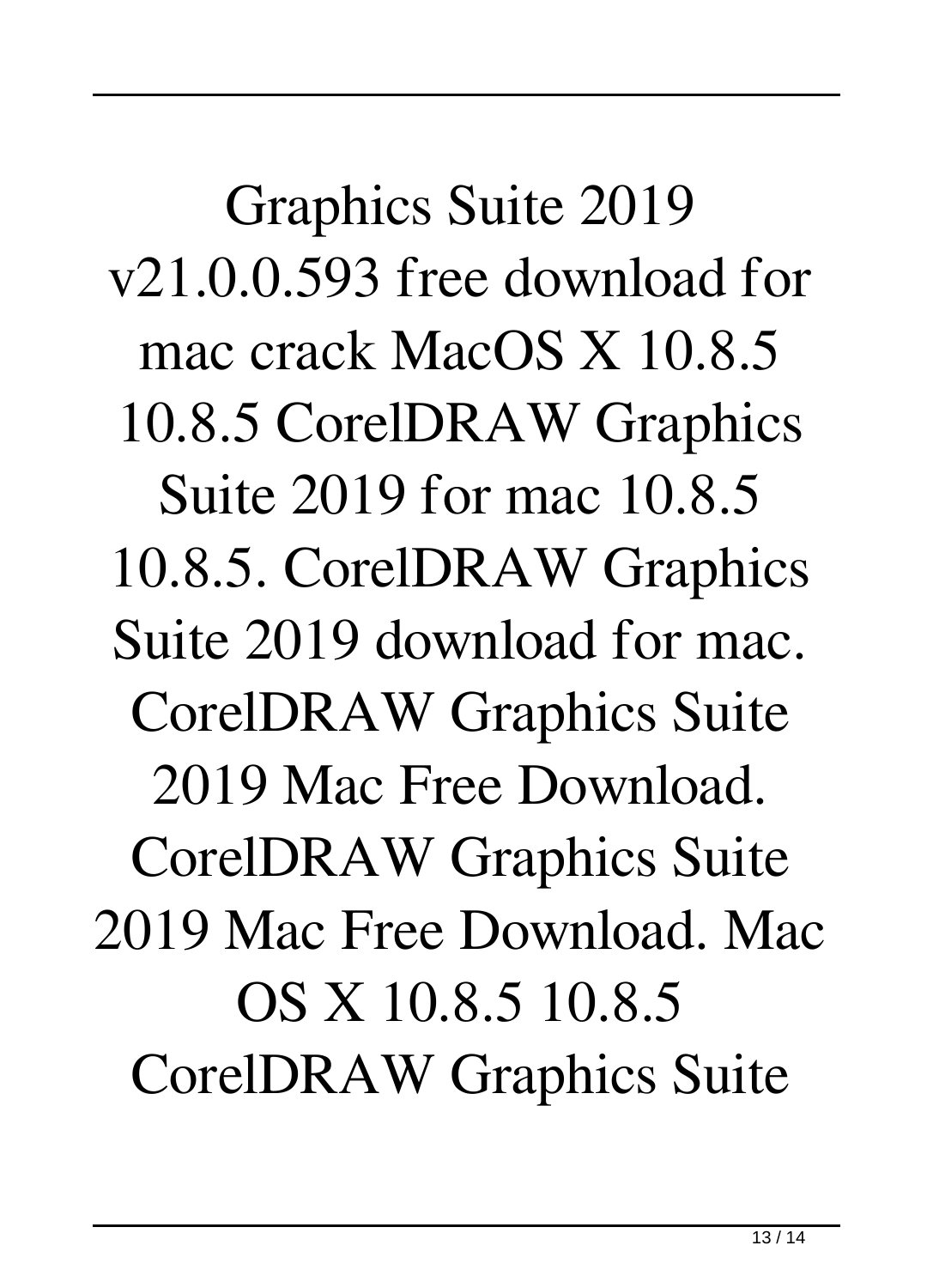Graphics Suite 2019 v21.0.0.593 free download for mac crack MacOS X 10.8.5 10.8.5 CorelDRAW Graphics Suite 2019 for mac 10.8.5 10.8.5. CorelDRAW Graphics Suite 2019 download for mac. CorelDRAW Graphics Suite 2019 Mac Free Download. CorelDRAW Graphics Suite 2019 Mac Free Download. Mac OS X 10.8.5 10.8.5 CorelDRAW Graphics Suite